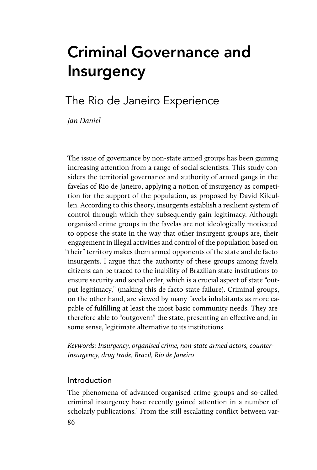# Criminal Governance and Insurgency

# The Rio de Janeiro Experience

*Jan Daniel*

The issue of governance by non-state armed groups has been gaining increasing attention from a range of social scientists. This study considers the territorial governance and authority of armed gangs in the favelas of Rio de Janeiro, applying a notion of insurgency as competition for the support of the population, as proposed by David Kilcullen. According to this theory, insurgents establish a resilient system of control through which they subsequently gain legitimacy. Although organised crime groups in the favelas are not ideologically motivated to oppose the state in the way that other insurgent groups are, their engagement in illegal activities and control of the population based on "their" territory makes them armed opponents of the state and de facto insurgents. I argue that the authority of these groups among favela citizens can be traced to the inability of Brazilian state institutions to ensure security and social order, which is a crucial aspect of state "output legitimacy," (making this de facto state failure). Criminal groups, on the other hand, are viewed by many favela inhabitants as more capable of fulfilling at least the most basic community needs. They are therefore able to "outgovern" the state, presenting an effective and, in some sense, legitimate alternative to its institutions.

*Keywords: Insurgency, organised crime, non-state armed actors, counterinsurgency, drug trade, Brazil, Rio de Janeiro*

## Introduction

86 The phenomena of advanced organised crime groups and so-called criminal insurgency have recently gained attention in a number of scholarly publications.<sup>1</sup> From the still escalating conflict between var-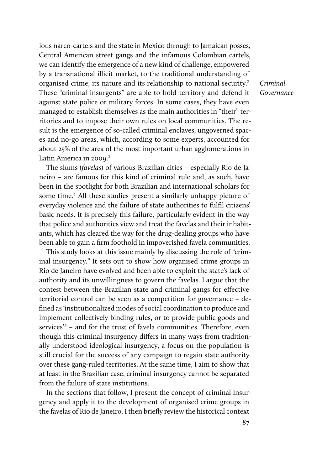ious narco-cartels and the state in Mexico through to Jamaican posses, Central American street gangs and the infamous Colombian cartels, we can identify the emergence of a new kind of challenge, empowered by a transnational illicit market, to the traditional understanding of organised crime, its nature and its relationship to national security.<sup>2</sup> These "criminal insurgents" are able to hold territory and defend it against state police or military forces. In some cases, they have even managed to establish themselves as the main authorities in "their" territories and to impose their own rules on local communities. The result is the emergence of so-called criminal enclaves, ungoverned spaces and no-go areas, which, according to some experts, accounted for about 25% of the area of the most important urban agglomerations in Latin America in 2009.<sup>3</sup>

The slums (*favelas*) of various Brazilian cities – especially Rio de Janeiro – are famous for this kind of criminal rule and, as such, have been in the spotlight for both Brazilian and international scholars for some time.<sup>4</sup> All these studies present a similarly unhappy picture of everyday violence and the failure of state authorities to fulfil citizens' basic needs. It is precisely this failure, particularly evident in the way that police and authorities view and treat the favelas and their inhabitants, which has cleared the way for the drug-dealing groups who have been able to gain a firm foothold in impoverished favela communities.

This study looks at this issue mainly by discussing the role of "criminal insurgency." It sets out to show how organised crime groups in Rio de Janeiro have evolved and been able to exploit the state's lack of authority and its unwillingness to govern the favelas. I argue that the contest between the Brazilian state and criminal gangs for effective territorial control can be seen as a competition for governance – defined as 'institutionalized modes of social coordination to produce and implement collectively binding rules, or to provide public goods and services'*5* – and for the trust of favela communities. Therefore, even though this criminal insurgency differs in many ways from traditionally understood ideological insurgency, a focus on the population is still crucial for the success of any campaign to regain state authority over these gang-ruled territories. At the same time, I aim to show that at least in the Brazilian case, criminal insurgency cannot be separated from the failure of state institutions.

In the sections that follow, I present the concept of criminal insurgency and apply it to the development of organised crime groups in the favelas of Rio de Janeiro. I then briefly review the historical context

*Criminal Governance*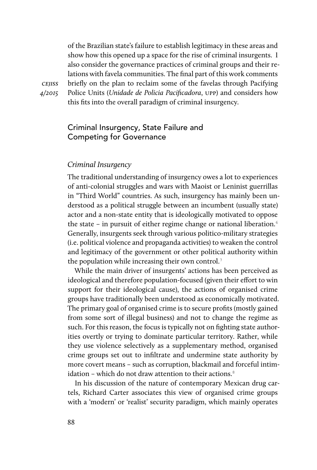of the Brazilian state's failure to establish legitimacy in these areas and show how this opened up a space for the rise of criminal insurgents. I also consider the governance practices of criminal groups and their relations with favela communities. The final part of this work comments briefly on the plan to reclaim some of the favelas through Pacifying Police Units (*Unidade de Policia Pacificadora*, upp) and considers how this fits into the overall paradigm of criminal insurgency.

cejiss *4/2015*

### Criminal Insurgency, State Failure and Competing for Governance

#### *Criminal Insurgency*

The traditional understanding of insurgency owes a lot to experiences of anti-colonial struggles and wars with Maoist or Leninist guerrillas in "Third World" countries. As such, insurgency has mainly been understood as a political struggle between an incumbent (usually state) actor and a non-state entity that is ideologically motivated to oppose the state – in pursuit of either regime change or national liberation. $6$ Generally, insurgents seek through various politico-military strategies (i.e. political violence and propaganda activities) to weaken the control and legitimacy of the government or other political authority within the population while increasing their own control.<sup>7</sup>

While the main driver of insurgents' actions has been perceived as ideological and therefore population-focused (given their effort to win support for their ideological cause), the actions of organised crime groups have traditionally been understood as economically motivated. The primary goal of organised crime is to secure profits (mostly gained from some sort of illegal business) and not to change the regime as such. For this reason, the focus is typically not on fighting state authorities overtly or trying to dominate particular territory. Rather, while they use violence selectively as a supplementary method, organised crime groups set out to infiltrate and undermine state authority by more covert means – such as corruption, blackmail and forceful intimidation – which do not draw attention to their actions. $8$ 

In his discussion of the nature of contemporary Mexican drug cartels, Richard Carter associates this view of organised crime groups with a 'modern' or 'realist' security paradigm, which mainly operates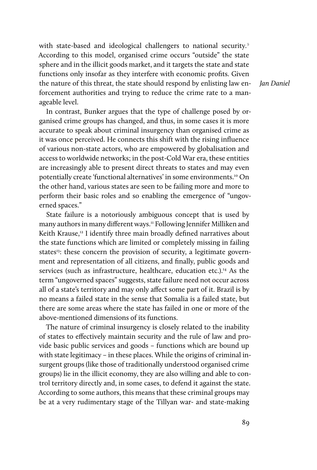with state-based and ideological challengers to national security.<sup>9</sup> According to this model, organised crime occurs "outside" the state sphere and in the illicit goods market, and it targets the state and state functions only insofar as they interfere with economic profits. Given the nature of this threat, the state should respond by enlisting law enforcement authorities and trying to reduce the crime rate to a manageable level.

*Jan Daniel*

In contrast, Bunker argues that the type of challenge posed by organised crime groups has changed, and thus, in some cases it is more accurate to speak about criminal insurgency than organised crime as it was once perceived. He connects this shift with the rising influence of various non-state actors, who are empowered by globalisation and access to worldwide networks; in the post-Cold War era, these entities are increasingly able to present direct threats to states and may even potentially create 'functional alternatives' in some environments.10 On the other hand, various states are seen to be failing more and more to perform their basic roles and so enabling the emergence of "ungoverned spaces."

State failure is a notoriously ambiguous concept that is used by many authors in many different ways.<sup>11</sup> Following Jennifer Milliken and Keith Krause,<sup>12</sup> I identify three main broadly defined narratives about the state functions which are limited or completely missing in failing states<sup>13</sup>: these concern the provision of security, a legitimate government and representation of all citizens, and finally, public goods and services (such as infrastructure, healthcare, education etc.).<sup>14</sup> As the term "ungoverned spaces" suggests, state failure need not occur across all of a state's territory and may only affect some part of it. Brazil is by no means a failed state in the sense that Somalia is a failed state, but there are some areas where the state has failed in one or more of the above-mentioned dimensions of its functions.

The nature of criminal insurgency is closely related to the inability of states to effectively maintain security and the rule of law and provide basic public services and goods – functions which are bound up with state legitimacy – in these places. While the origins of criminal insurgent groups (like those of traditionally understood organised crime groups) lie in the illicit economy, they are also willing and able to control territory directly and, in some cases, to defend it against the state. According to some authors, this means that these criminal groups may be at a very rudimentary stage of the Tillyan war- and state-making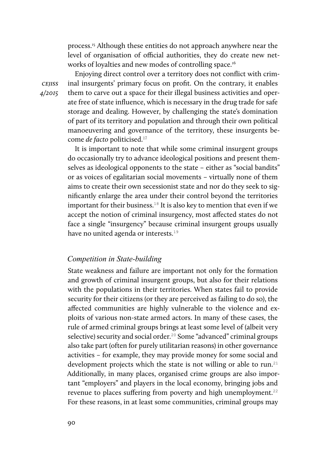process.<sup>15</sup> Although these entities do not approach anywhere near the level of organisation of official authorities, they do create new networks of loyalties and new modes of controlling space.<sup>16</sup>

Enjoying direct control over a territory does not conflict with criminal insurgents' primary focus on profit. On the contrary, it enables them to carve out a space for their illegal business activities and operate free of state influence, which is necessary in the drug trade for safe storage and dealing. However, by challenging the state's domination of part of its territory and population and through their own political manoeuvering and governance of the territory, these insurgents become *de facto* politicised.<sup>17</sup>

It is important to note that while some criminal insurgent groups do occasionally try to advance ideological positions and present themselves as ideological opponents to the state – either as "social bandits" or as voices of egalitarian social movements – virtually none of them aims to create their own secessionist state and nor do they seek to significantly enlarge the area under their control beyond the territories important for their business.<sup>18</sup> It is also key to mention that even if we accept the notion of criminal insurgency, most affected states do not face a single "insurgency" because criminal insurgent groups usually have no united agenda or interests.<sup>19</sup>

#### *Competition in State-building*

State weakness and failure are important not only for the formation and growth of criminal insurgent groups, but also for their relations with the populations in their territories. When states fail to provide security for their citizens (or they are perceived as failing to do so), the affected communities are highly vulnerable to the violence and exploits of various non-state armed actors. In many of these cases, the rule of armed criminal groups brings at least some level of (albeit very selective) security and social order.<sup>20</sup> Some "advanced" criminal groups also take part (often for purely utilitarian reasons) in other governance activities – for example, they may provide money for some social and development projects which the state is not willing or able to run.<sup>21</sup> Additionally, in many places, organised crime groups are also important "employers" and players in the local economy, bringing jobs and revenue to places suffering from poverty and high unemployment.<sup>22</sup> For these reasons, in at least some communities, criminal groups may

cejiss *4/2015*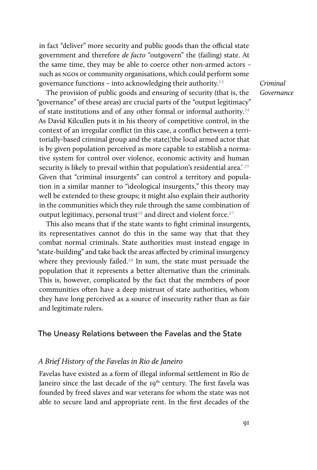in fact "deliver" more security and public goods than the official state government and therefore *de facto* "outgovern" the (failing) state. At the same time, they may be able to coerce other non-armed actors – such as ngos or community organisations, which could perform some governance functions – into acknowledging their authority. $23$ 

The provision of public goods and ensuring of security (that is, the "governance" of these areas) are crucial parts of the "output legitimacy" of state institutions and of any other formal or informal authority.<sup>24</sup> As David Kilcullen puts it in his theory of competitive control, in the context of an irregular conflict (in this case, a conflict between a territorially-based criminal group and the state),'the local armed actor that is by given population perceived as more capable to establish a normative system for control over violence, economic activity and human security is likely to prevail within that population's residential area.<sup>' 25</sup> Given that "criminal insurgents" can control a territory and population in a similar manner to "ideological insurgents," this theory may well be extended to these groups; it might also explain their authority in the communities which they rule through the same combination of output legitimacy, personal trust<sup>26</sup> and direct and violent force.<sup>27</sup>

This also means that if the state wants to fight criminal insurgents, its representatives cannot do this in the same way that that they combat normal criminals. State authorities must instead engage in "state-building" and take back the areas affected by criminal insurgency where they previously failed.<sup>28</sup> In sum, the state must persuade the population that it represents a better alternative than the criminals. This is, however, complicated by the fact that the members of poor communities often have a deep mistrust of state authorities, whom they have long perceived as a source of insecurity rather than as fair and legitimate rulers.

#### The Uneasy Relations between the Favelas and the State

#### *A Brief History of the Favelas in Rio de Janeiro*

Favelas have existed as a form of illegal informal settlement in Rio de Janeiro since the last decade of the 19<sup>th</sup> century. The first favela was founded by freed slaves and war veterans for whom the state was not able to secure land and appropriate rent. In the first decades of the

*Criminal Governance*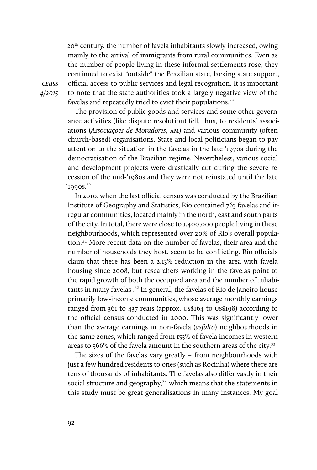20th century, the number of favela inhabitants slowly increased, owing mainly to the arrival of immigrants from rural communities. Even as the number of people living in these informal settlements rose, they continued to exist "outside" the Brazilian state, lacking state support, official access to public services and legal recognition. It is important to note that the state authorities took a largely negative view of the favelas and repeatedly tried to evict their populations.<sup>29</sup>

The provision of public goods and services and some other governance activities (like dispute resolution) fell, thus, to residents' associations (*Associaçoes de Moradores*, am) and various community (often church-based) organisations. State and local politicians began to pay attention to the situation in the favelas in the late '1970s during the democratisation of the Brazilian regime. Nevertheless, various social and development projects were drastically cut during the severe recession of the mid-'1980s and they were not reinstated until the late  $1990s.<sup>30</sup>$ 

In 2010, when the last official census was conducted by the Brazilian Institute of Geography and Statistics, Rio contained 763 favelas and irregular communities, located mainly in the north, east and south parts of the city. In total, there were close to 1,400,000 people living in these neighbourhoods, which represented over 20% of Rio's overall population.<sup>31</sup> More recent data on the number of favelas, their area and the number of households they host, seem to be conflicting. Rio officials claim that there has been a 2.13% reduction in the area with favela housing since 2008, but researchers working in the favelas point to the rapid growth of both the occupied area and the number of inhabitants in many favelas.<sup>32</sup> In general, the favelas of Rio de Janeiro house primarily low-income communities, whose average monthly earnings ranged from 361 to 437 reais (approx. us\$164 to us\$198) according to the official census conducted in 2000. This was significantly lower than the average earnings in non-favela (*asfalto*) neighbourhoods in the same zones, which ranged from 153% of favela incomes in western areas to 566% of the favela amount in the southern areas of the city.<sup>33</sup>

The sizes of the favelas vary greatly – from neighbourhoods with just a few hundred residents to ones (such as Rocinha) where there are tens of thousands of inhabitants. The favelas also differ vastly in their social structure and geography,<sup>34</sup> which means that the statements in this study must be great generalisations in many instances. My goal

**CEJISS** *4/2015*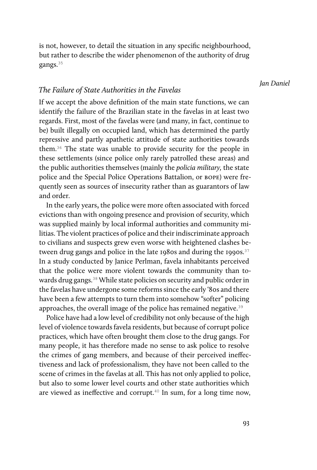is not, however, to detail the situation in any specific neighbourhood, but rather to describe the wider phenomenon of the authority of drug gangs.<sup>35</sup>

*Jan Daniel*

#### *The Failure of State Authorities in the Favelas*

If we accept the above definition of the main state functions, we can identify the failure of the Brazilian state in the favelas in at least two regards. First, most of the favelas were (and many, in fact, continue to be) built illegally on occupied land, which has determined the partly repressive and partly apathetic attitude of state authorities towards them.36 The state was unable to provide security for the people in these settlements (since police only rarely patrolled these areas) and the public authorities themselves (mainly the *policia military,* the state police and the Special Police Operations Battalion, or bope) were frequently seen as sources of insecurity rather than as guarantors of law and order.

In the early years, the police were more often associated with forced evictions than with ongoing presence and provision of security, which was supplied mainly by local informal authorities and community militias. The violent practices of police and their indiscriminate approach to civilians and suspects grew even worse with heightened clashes between drug gangs and police in the late 1980s and during the 1990s.  $37$ In a study conducted by Janice Perlman, favela inhabitants perceived that the police were more violent towards the community than towards drug gangs.<sup>38</sup> While state policies on security and public order in the favelas have undergone some reforms since the early '80s and there have been a few attempts to turn them into somehow "softer" policing approaches, the overall image of the police has remained negative.<sup>39</sup>

Police have had a low level of credibility not only because of the high level of violence towards favela residents, but because of corrupt police practices, which have often brought them close to the drug gangs. For many people, it has therefore made no sense to ask police to resolve the crimes of gang members, and because of their perceived ineffectiveness and lack of professionalism, they have not been called to the scene of crimes in the favelas at all. This has not only applied to police, but also to some lower level courts and other state authorities which are viewed as ineffective and corrupt.<sup>40</sup> In sum, for a long time now,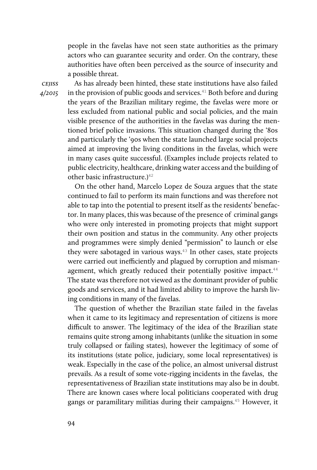people in the favelas have not seen state authorities as the primary actors who can guarantee security and order. On the contrary, these authorities have often been perceived as the source of insecurity and a possible threat.

**CEJISS** *4/2015*

As has already been hinted, these state institutions have also failed in the provision of public goods and services.<sup>41</sup> Both before and during the years of the Brazilian military regime, the favelas were more or less excluded from national public and social policies, and the main visible presence of the authorities in the favelas was during the mentioned brief police invasions. This situation changed during the '80s and particularly the '90s when the state launched large social projects aimed at improving the living conditions in the favelas, which were in many cases quite successful. (Examples include projects related to public electricity, healthcare, drinking water access and the building of other basic infrastructure.)<sup>42</sup>

On the other hand, Marcelo Lopez de Souza argues that the state continued to fail to perform its main functions and was therefore not able to tap into the potential to present itself as the residents' benefactor. In many places, this was because of the presence of criminal gangs who were only interested in promoting projects that might support their own position and status in the community. Any other projects and programmes were simply denied "permission" to launch or else they were sabotaged in various ways. $43$  In other cases, state projects were carried out inefficiently and plagued by corruption and mismanagement, which greatly reduced their potentially positive impact. $44$ The state was therefore not viewed as the dominant provider of public goods and services, and it had limited ability to improve the harsh living conditions in many of the favelas.

The question of whether the Brazilian state failed in the favelas when it came to its legitimacy and representation of citizens is more difficult to answer. The legitimacy of the idea of the Brazilian state remains quite strong among inhabitants (unlike the situation in some truly collapsed or failing states), however the legitimacy of some of its institutions (state police, judiciary, some local representatives) is weak. Especially in the case of the police, an almost universal distrust prevails. As a result of some vote-rigging incidents in the favelas, the representativeness of Brazilian state institutions may also be in doubt. There are known cases where local politicians cooperated with drug gangs or paramilitary militias during their campaigns.45 However, it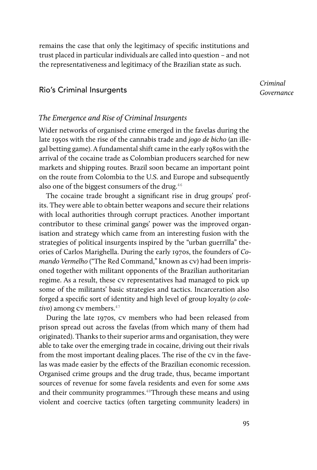remains the case that only the legitimacy of specific institutions and trust placed in particular individuals are called into question – and not the representativeness and legitimacy of the Brazilian state as such.

#### Rio's Criminal Insurgents

*Criminal Governance*

#### *The Emergence and Rise of Criminal Insurgents*

Wider networks of organised crime emerged in the favelas during the late 1950s with the rise of the cannabis trade and *jogo de bicho* (an illegal betting game). A fundamental shift came in the early 1980s with the arrival of the cocaine trade as Colombian producers searched for new markets and shipping routes. Brazil soon became an important point on the route from Colombia to the U.S. and Europe and subsequently also one of the biggest consumers of the drug. $46$ 

The cocaine trade brought a significant rise in drug groups' profits. They were able to obtain better weapons and secure their relations with local authorities through corrupt practices. Another important contributor to these criminal gangs' power was the improved organisation and strategy which came from an interesting fusion with the strategies of political insurgents inspired by the "urban guerrilla" theories of Carlos Marighella. During the early 1970s, the founders of *Comando Vermelho* ("The Red Command," known as cv) had been imprisoned together with militant opponents of the Brazilian authoritarian regime. As a result, these cv representatives had managed to pick up some of the militants' basic strategies and tactics. Incarceration also forged a specific sort of identity and high level of group loyalty (*o cole*tivo) among cv members.<sup>47</sup>

During the late 1970s, cv members who had been released from prison spread out across the favelas (from which many of them had originated). Thanks to their superior arms and organisation, they were able to take over the emerging trade in cocaine, driving out their rivals from the most important dealing places. The rise of the cv in the favelas was made easier by the effects of the Brazilian economic recession. Organised crime groups and the drug trade, thus, became important sources of revenue for some favela residents and even for some ams and their community programmes.<sup>48</sup>Through these means and using violent and coercive tactics (often targeting community leaders) in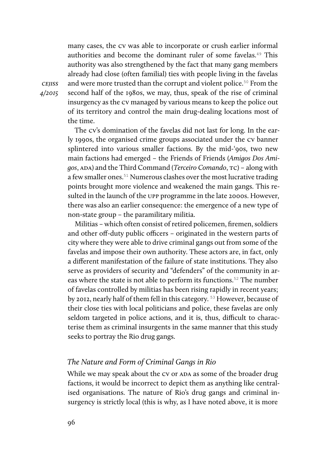many cases, the cv was able to incorporate or crush earlier informal authorities and become the dominant ruler of some favelas.<sup>49</sup> This authority was also strengthened by the fact that many gang members already had close (often familial) ties with people living in the favelas and were more trusted than the corrupt and violent police.<sup>50</sup> From the second half of the 1980s, we may, thus, speak of the rise of criminal insurgency as the cv managed by various means to keep the police out of its territory and control the main drug-dealing locations most of the time.

The cv's domination of the favelas did not last for long. In the early 1990s, the organised crime groups associated under the cv banner splintered into various smaller factions. By the mid-'90s, two new main factions had emerged – the Friends of Friends (*Amigos Dos Amigos*, ada) and the Third Command (*Terceiro Comando*, tc) – along with a few smaller ones.<sup>51</sup> Numerous clashes over the most lucrative trading points brought more violence and weakened the main gangs. This resulted in the launch of the upp programme in the late 2000s. However, there was also an earlier consequence: the emergence of a new type of non-state group – the paramilitary militia.

Militias – which often consist of retired policemen, firemen, soldiers and other off-duty public officers – originated in the western parts of city where they were able to drive criminal gangs out from some of the favelas and impose their own authority. These actors are, in fact, only a different manifestation of the failure of state institutions. They also serve as providers of security and "defenders" of the community in areas where the state is not able to perform its functions.<sup>52</sup> The number of favelas controlled by militias has been rising rapidly in recent years; by 2012, nearly half of them fell in this category. 53 However, because of their close ties with local politicians and police, these favelas are only seldom targeted in police actions, and it is, thus, difficult to characterise them as criminal insurgents in the same manner that this study seeks to portray the Rio drug gangs.

#### *The Nature and Form of Criminal Gangs in Rio*

While we may speak about the CV or ADA as some of the broader drug factions, it would be incorrect to depict them as anything like centralised organisations. The nature of Rio's drug gangs and criminal insurgency is strictly local (this is why, as I have noted above, it is more

**CEJISS** *4/2015*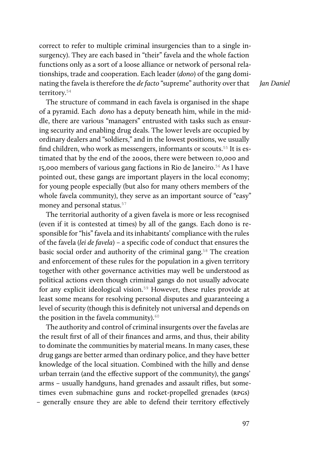correct to refer to multiple criminal insurgencies than to a single insurgency). They are each based in "their" favela and the whole faction functions only as a sort of a loose alliance or network of personal relationships, trade and cooperation. Each leader (*dono*) of the gang dominating the favela is therefore the *de facto* "supreme" authority over that territory.<sup>54</sup>

The structure of command in each favela is organised in the shape of a pyramid. Each *dono* has a deputy beneath him, while in the middle, there are various "managers" entrusted with tasks such as ensuring security and enabling drug deals. The lower levels are occupied by ordinary dealers and "soldiers," and in the lowest positions, we usually find children, who work as messengers, informants or scouts.<sup>55</sup> It is estimated that by the end of the 2000s, there were between 10,000 and 15,000 members of various gang factions in Rio de Janeiro.<sup>56</sup> As I have pointed out, these gangs are important players in the local economy; for young people especially (but also for many others members of the whole favela community), they serve as an important source of "easy" money and personal status.<sup>57</sup>

The territorial authority of a given favela is more or less recognised (even if it is contested at times) by all of the gangs. Each dono is responsible for "his" favela and its inhabitants' compliance with the rules of the favela (*lei de favela*) – a specific code of conduct that ensures the basic social order and authority of the criminal gang.<sup>58</sup> The creation and enforcement of these rules for the population in a given territory together with other governance activities may well be understood as political actions even though criminal gangs do not usually advocate for any explicit ideological vision.<sup>59</sup> However, these rules provide at least some means for resolving personal disputes and guaranteeing a level of security (though this is definitely not universal and depends on the position in the favela community). $60$ 

The authority and control of criminal insurgents over the favelas are the result first of all of their finances and arms, and thus, their ability to dominate the communities by material means. In many cases, these drug gangs are better armed than ordinary police, and they have better knowledge of the local situation. Combined with the hilly and dense urban terrain (and the effective support of the community), the gangs' arms – usually handguns, hand grenades and assault rifles, but sometimes even submachine guns and rocket-propelled grenades (RPGS) – generally ensure they are able to defend their territory effectively

*Jan Daniel*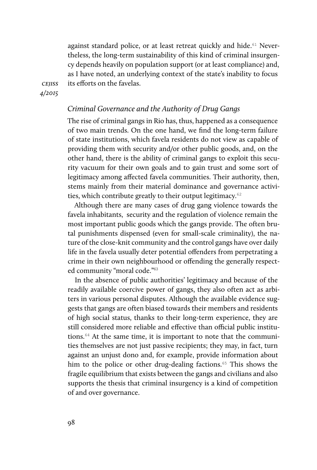against standard police, or at least retreat quickly and hide.<sup>61</sup> Nevertheless, the long-term sustainability of this kind of criminal insurgency depends heavily on population support (or at least compliance) and, as I have noted, an underlying context of the state's inability to focus its efforts on the favelas.

**CEJISS** *4/2015*

#### *Criminal Governance and the Authority of Drug Gangs*

The rise of criminal gangs in Rio has, thus, happened as a consequence of two main trends. On the one hand, we find the long-term failure of state institutions, which favela residents do not view as capable of providing them with security and/or other public goods, and, on the other hand, there is the ability of criminal gangs to exploit this security vacuum for their own goals and to gain trust and some sort of legitimacy among affected favela communities. Their authority, then, stems mainly from their material dominance and governance activities, which contribute greatly to their output legitimacy.<sup>62</sup>

Although there are many cases of drug gang violence towards the favela inhabitants, security and the regulation of violence remain the most important public goods which the gangs provide. The often brutal punishments dispensed (even for small-scale criminality), the nature of the close-knit community and the control gangs have over daily life in the favela usually deter potential offenders from perpetrating a crime in their own neighbourhood or offending the generally respected community "moral code."<sup>63</sup>

In the absence of public authorities' legitimacy and because of the readily available coercive power of gangs, they also often act as arbiters in various personal disputes. Although the available evidence suggests that gangs are often biased towards their members and residents of high social status, thanks to their long-term experience, they are still considered more reliable and effective than official public institutions.64 At the same time, it is important to note that the communities themselves are not just passive recipients; they may, in fact, turn against an unjust dono and, for example, provide information about him to the police or other drug-dealing factions.<sup> $65$ </sup> This shows the fragile equilibrium that exists between the gangs and civilians and also supports the thesis that criminal insurgency is a kind of competition of and over governance.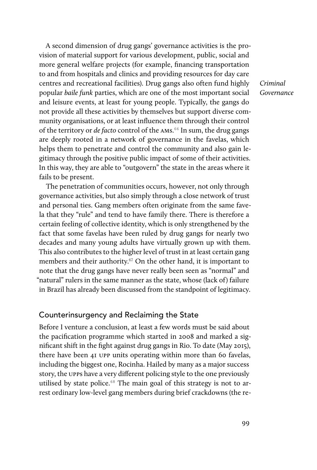A second dimension of drug gangs' governance activities is the provision of material support for various development, public, social and more general welfare projects (for example, financing transportation to and from hospitals and clinics and providing resources for day care centres and recreational facilities). Drug gangs also often fund highly popular *baile funk* parties, which are one of the most important social and leisure events, at least for young people. Typically, the gangs do not provide all these activities by themselves but support diverse community organisations, or at least influence them through their control of the territory or *de facto* control of the AMS.<sup>66</sup> In sum, the drug gangs are deeply rooted in a network of governance in the favelas, which helps them to penetrate and control the community and also gain legitimacy through the positive public impact of some of their activities. In this way, they are able to "outgovern" the state in the areas where it fails to be present.

The penetration of communities occurs, however, not only through governance activities, but also simply through a close network of trust and personal ties. Gang members often originate from the same favela that they "rule" and tend to have family there. There is therefore a certain feeling of collective identity, which is only strengthened by the fact that some favelas have been ruled by drug gangs for nearly two decades and many young adults have virtually grown up with them. This also contributes to the higher level of trust in at least certain gang members and their authority.<sup>67</sup> On the other hand, it is important to note that the drug gangs have never really been seen as "normal" and "natural" rulers in the same manner as the state, whose (lack of) failure in Brazil has already been discussed from the standpoint of legitimacy.

#### Counterinsurgency and Reclaiming the State

Before I venture a conclusion, at least a few words must be said about the pacification programme which started in 2008 and marked a significant shift in the fight against drug gangs in Rio. To date (May 2015), there have been 41 upp units operating within more than 60 favelas, including the biggest one, Rocinha. Hailed by many as a major success story, the upps have a very different policing style to the one previously utilised by state police. $68$  The main goal of this strategy is not to arrest ordinary low-level gang members during brief crackdowns (the re*Criminal Governance*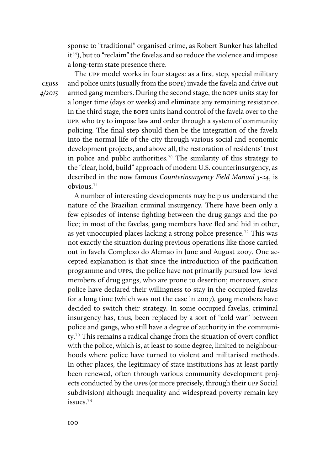sponse to "traditional" organised crime, as Robert Bunker has labelled it<sup>69</sup>), but to "reclaim" the favelas and so reduce the violence and impose a long-term state presence there.

The upp model works in four stages: as a first step, special military and police units (usually from the bope) invade the favela and drive out armed gang members. During the second stage, the bope units stay for a longer time (days or weeks) and eliminate any remaining resistance. In the third stage, the bope units hand control of the favela over to the upp, who try to impose law and order through a system of community policing. The final step should then be the integration of the favela into the normal life of the city through various social and economic development projects, and above all, the restoration of residents' trust in police and public authorities.<sup>70</sup> The similarity of this strategy to the "clear, hold, build" approach of modern U.S. counterinsurgency, as described in the now famous *Counterinsurgency Field Manual 3-24*, is obvious.<sup>71</sup>

A number of interesting developments may help us understand the nature of the Brazilian criminal insurgency. There have been only a few episodes of intense fighting between the drug gangs and the police; in most of the favelas, gang members have fled and hid in other, as yet unoccupied places lacking a strong police presence.<sup>72</sup> This was not exactly the situation during previous operations like those carried out in favela Complexo do Alemao in June and August 2007. One accepted explanation is that since the introduction of the pacification programme and upps, the police have not primarily pursued low-level members of drug gangs, who are prone to desertion; moreover, since police have declared their willingness to stay in the occupied favelas for a long time (which was not the case in 2007), gang members have decided to switch their strategy. In some occupied favelas, criminal insurgency has, thus, been replaced by a sort of "cold war" between police and gangs, who still have a degree of authority in the community.73 This remains a radical change from the situation of overt conflict with the police, which is, at least to some degree, limited to neighbourhoods where police have turned to violent and militarised methods. In other places, the legitimacy of state institutions has at least partly been renewed, often through various community development projects conducted by the upps (or more precisely, through their upp Social subdivision) although inequality and widespread poverty remain key issues.74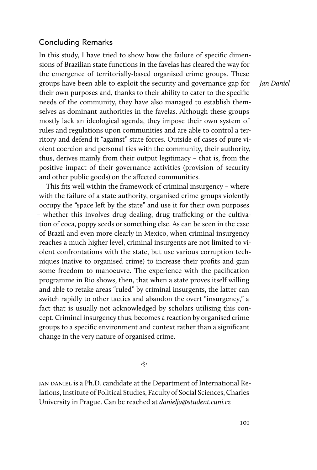#### Concluding Remarks

In this study, I have tried to show how the failure of specific dimensions of Brazilian state functions in the favelas has cleared the way for the emergence of territorially-based organised crime groups. These groups have been able to exploit the security and governance gap for their own purposes and, thanks to their ability to cater to the specific needs of the community, they have also managed to establish themselves as dominant authorities in the favelas. Although these groups mostly lack an ideological agenda, they impose their own system of rules and regulations upon communities and are able to control a territory and defend it "against" state forces. Outside of cases of pure violent coercion and personal ties with the community, their authority, thus, derives mainly from their output legitimacy – that is, from the positive impact of their governance activities (provision of security and other public goods) on the affected communities.

This fits well within the framework of criminal insurgency – where with the failure of a state authority, organised crime groups violently occupy the "space left by the state" and use it for their own purposes – whether this involves drug dealing, drug trafficking or the cultivation of coca, poppy seeds or something else. As can be seen in the case of Brazil and even more clearly in Mexico, when criminal insurgency reaches a much higher level, criminal insurgents are not limited to violent confrontations with the state, but use various corruption techniques (native to organised crime) to increase their profits and gain some freedom to manoeuvre. The experience with the pacification programme in Rio shows, then, that when a state proves itself willing and able to retake areas "ruled" by criminal insurgents, the latter can switch rapidly to other tactics and abandon the overt "insurgency," a fact that is usually not acknowledged by scholars utilising this concept. Criminal insurgency thus, becomes a reaction by organised crime groups to a specific environment and context rather than a significant change in the very nature of organised crime.

 $\tilde{c}$ 

JAN DANIEL is a Ph.D. candidate at the Department of International Relations, Institute of Political Studies, Faculty of Social Sciences, Charles University in Prague. Can be reached at *danielja@student.cuni.cz*

*Jan Daniel*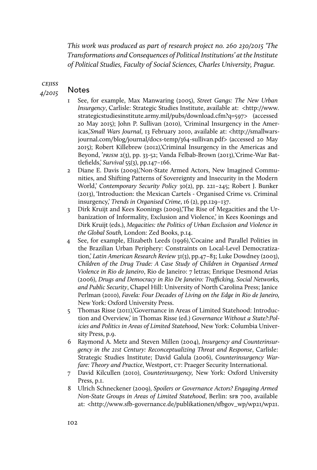*This work was produced as part of research project no. 260 230/2015 'The Transformations and Consequences of Political Institutions' at the Institute of Political Studies, Faculty of Social Sciences, Charles University, Prague.*

**CEJISS** *4/2015*

# Notes

- 1 See, for example, Max Manwaring (2005), *Street Gangs: The New Urban Insurgency*, Carlisle: Strategic Studies Institute, available at: <http://www. strategicstudiesinstitute.army.mil/pubs/download.cfm?q=597> (accessed 20 May 2015); John P. Sullivan (2010), 'Criminal Insurgency in the Americas,'*Small Wars Journal*, 13 February 2010, available at: <http://smallwarsjournal.com/blog/journal/docs-temp/364-sullivan.pdf> (accessed 20 May 2015); Robert Killebrew (2012),'Criminal Insurgency in the Americas and Beyond, '*PRISM* 2(3), pp. 33-52; Vanda Felbab-Brown (2013), 'Crime-War Battlefields,' *Survival* 55(3), pp.147–166.
- 2 Diane E. Davis (2009),'Non-State Armed Actors, New Imagined Communities, and Shifting Patterns of Sovereignty and Insecurity in the Modern World,' *Contemporary Security Policy* 30(2), pp. 221–245; Robert J. Bunker (2013), 'Introduction: the Mexican Cartels - Organised Crime vs. Criminal insurgency,' *Trends in Organised Crime*, 16 (2), pp.129–137.
- 3 Dirk Kruijt and Kees Koonings (2009),'The Rise of Megacities and the Urbanization of Informality, Exclusion and Violence,' in Kees Koonings and Dirk Kruijt (eds.), *Megacities: the Politics of Urban Exclusion and Violence in the Global South,* London: Zed Books, p.14.
- 4 See, for example, Elizabeth Leeds (1996)''Cocaine and Parallel Polities in the Brazilian Urban Periphery: Constraints on Local-Level Democratization,' *Latin American Research Review* 31(3), pp.47–83; Luke Dowdney (2003), *Children of the Drug Trade: A Case Study of Children in Organised Armed Violence in Rio de Janeiro*, Rio de Janeiro: 7 letras; Enrique Desmond Arias (2006), *Drugs and Democracy in Rio De Janeiro: Tra*f*cking, Social Networks, and Public Security*, Chapel Hill: University of North Carolina Press; Janice Perlman (2010), *Favela: Four Decades of Living on the Edge in Rio de Janeiro,* New York: Oxford University Press.
- 5 Thomas Risse (2011),'Governance in Areas of Limited Statehood: Introduction and Overview,' in Thomas Risse (ed.) *Governance Without a State?:Policies and Politics in Areas of Limited Statehood*, New York: Columbia University Press, p.9.
- 6 Raymond A. Metz and Steven Millen (2004), *Insurgency and Counterinsurgency in the 21st Century: Reconceptualizing Threat and Response*, Carlisle: Strategic Studies Institute; David Galula (2006), *Counterinsurgency Warfare: Theory and Practice*, Westport, CT: Praeger Security International.
- 7 David Kilcullen (2010), *Counterinsurgency,* New York: Oxford University Press, p.1.
- 8 Ulrich Schneckener (2009), *Spoilers or Governance Actors? Engaging Armed Non-State Groups in Areas of Limited Statehood*, Berlin: SFB 700, available at: <http://www.sfb-governance.de/publikationen/sfbgov\_wp/wp21/wp21.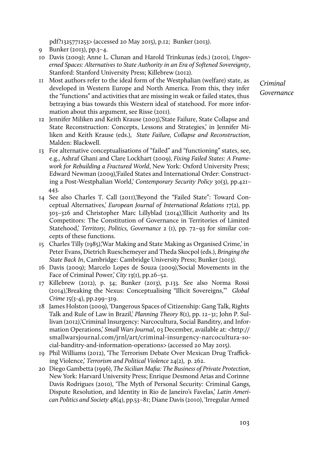pdf?1325771253> (accessed 20 May 2015), p.12; Bunker (2013).

- 9 Bunker (2013), pp.3–4.
- 10 Davis (2009); Anne L. Clunan and Harold Trinkunas (eds.) (2010), *Ungoverned Spaces: Alternatives to State Authority in an Era of Softened Sovereignty*, Stanford: Stanford University Press; Killebrew (2012).
- 11 Most authors refer to the ideal form of the Westphalian (welfare) state, as developed in Western Europe and North America. From this, they infer the "functions" and activities that are missing in weak or failed states, thus betraying a bias towards this Western ideal of statehood. For more information about this argument, see Risse (2011).
- 12 Jennifer Miliken and Keith Krause (2003),'State Failure, State Collapse and State Reconstruction: Concepts, Lessons and Strategies,' in Jennifer Miliken and Keith Krause (eds.), *State Failure, Collapse and Reconstruction*, Malden: Blackwell.
- 13 For alternative conceptualisations of "failed" and "functioning" states, see, e.g., Ashraf Ghani and Clare Lockhart (2009), *Fixing Failed States: A Framework for Rebuilding a Fractured World*, New York: Oxford University Press; Edward Newman (2009),'Failed States and International Order: Constructing a Post-Westphalian World,' *Contemporary Security Policy* 30(3), pp.421– 443.
- 14 See also Charles T. Call (2011),'Beyond the "Failed State": Toward Conceptual Alternatives,' *European Journal of International Relations* 17(2), pp. 303–326 and Christopher Marc Lillyblad (2014),'Illicit Authority and Its Competitors: The Constitution of Governance in Territories of Limited Statehood,' *Territory, Politics, Governance* 2 (1), pp. 72–93 for similar concepts of these functions.
- 15 Charles Tilly (1985),'War Making and State Making as Organised Crime,' in Peter Evans, Dietrich Rueschemeyer and Theda Skocpol (eds.), *Bringing the State Back In*, Cambridge: Cambridge University Press; Bunker (2013).
- 16 Davis (2009); Marcelo Lopes de Souza (2009),'Social Movements in the Face of Criminal Power,' *City* 13(1), pp.26–52.
- 17 Killebrew (2012), p. 34; Bunker (2013), p.133. See also Norma Rossi (2014),'Breaking the Nexus: Conceptualising "Illicit Sovereigns,"' *Global Crime* 15(3-4), pp.299–319.
- 18 James Holston (2009), 'Dangerous Spaces of Citizenship: Gang Talk, Rights Talk and Rule of Law in Brazil,' *Planning Theory* 8(1), pp. 12–31; John P. Sullivan (2012),'Criminal Insurgency: Narcocultura, Social Banditry, and Information Operations,' *Small Wars Journal*, 03 December, available at: <http:// smallwarsjournal.com/jrnl/art/criminal-insurgency-narcocultura-social-banditry-and-information-operations> (accessed 20 May 2015).
- 19 Phil Williams (2012), 'The Terrorism Debate Over Mexican Drug Trafficking Violence,' *Terrorism and Political Violence* 24(2), p. 262.
- 20 Diego Gambetta (1996), *The Sicilian Mafia: The Business of Private Protection*, New York: Harvard University Press; Enrique Desmond Arias and Corinne Davis Rodrigues (2010), 'The Myth of Personal Security: Criminal Gangs, Dispute Resolution, and Identity in Rio de Janeiro's Favelas,' *Latin American Politics and Society* 48(4), pp.53–81; Diane Davis (2010), 'Irregular Armed

*Criminal Governance*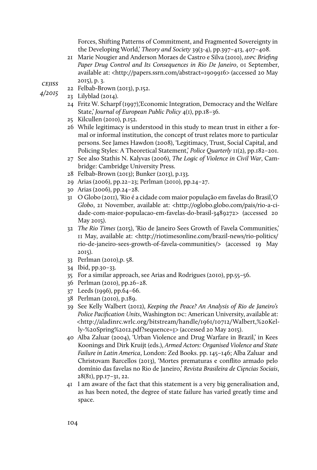Forces, Shifting Patterns of Commitment, and Fragmented Sovereignty in the Developing World,' *Theory and Society* 39(3-4), pp.397–413, 407–408.

21 Marie Nougier and Anderson Moraes de Castro e Silva (2010), *IDPC Briefing* Paper Drug Control and Its Consequences in Rio De Janeiro, o1 September, available at: <http://papers.ssrn.com/abstract=1909916> (accessed 20 May 2015), p. 3.

**CEJISS** *4/2015*

- 22 Felbab-Brown (2013), p.152. 23 Lilyblad (2014).
	- 24 Fritz W. Scharpf (1997),'Economic Integration, Democracy and the Welfare State,' *Journal of European Public Policy* 4(1), pp.18–36.
	- 25 Kilcullen (2010), p.152.
	- 26 While legitimacy is understood in this study to mean trust in either a formal or informal institution, the concept of trust relates more to particular persons. See James Hawdon (2008), 'Legitimacy, Trust, Social Capital, and Policing Styles: A Theoretical Statement,' *Police Quarterly* 11(2), pp.182–201.
	- 27 See also Stathis N. Kalyvas (2006), *The Logic of Violence in Civil War*, Cambridge: Cambridge University Press.
	- 28 Felbab-Brown (2013); Bunker (2013), p.133.
	- 29 Arias (2006), pp.22–23; Perlman (2010), pp.24–27.
	- 30 Arias (2006), pp.24–28.
	- 31 O Globo (2011), 'Rio é a cidade com maior populaçăo em favelas do Brasil,'*O Globo*, 21 November, available at: <http://oglobo.globo.com/pais/rio-a-cidade-com-maior-populacao-em-favelas-do-brasil-3489272> (accessed 20 May 2015).
	- 32 *The Rio Times* (2015), 'Rio de Janeiro Sees Growth of Favela Communities,' 11 May, available at: <http://riotimesonline.com/brazil-news/rio-politics/ rio-de-janeiro-sees-growth-of-favela-communities/> (accessed 19 May 2015).
	- 33 Perlman (2010),p. 58.
	- 34 Ibid, pp.30–33.
	- 35 For a similar approach, see Arias and Rodrigues (2010), pp.55–56.
	- 36 Perlman (2010), pp.26–28.
	- 37 Leeds (1996), pp.64–66.
	- 38 Perlman (2010), p.189.
	- 39 See Kelly Walbert (2012), *Keeping the Peace? An Analysis of Rio de Janeiro's Police Pacification Units*, Washington DC: American University, available at: <http://aladinrc.wrlc.org/bitstream/handle/1961/10712/Walbert,%20Kelly-%20Spring%2012.pdf?sequence=1> (accessed 20 May 2015).
	- 40 Alba Zaluar (2004), 'Urban Violence and Drug Warfare in Brazil,' in Kees Koonings and Dirk Kruijt (eds.), *Armed Actors: Organised Violence and State Failure in Latin America*, London: Zed Books. pp. 145–146; Alba Zaluar and Christovam Barcellos (2013), 'Mortes prematuras e conflito armado pelo domínio das favelas no Rio de Janeiro,' *Revista Brasileira de Ci*ę*ncias Sociais*, 28(81), pp.17–31, 22.
	- 41 I am aware of the fact that this statement is a very big generalisation and, as has been noted, the degree of state failure has varied greatly time and space.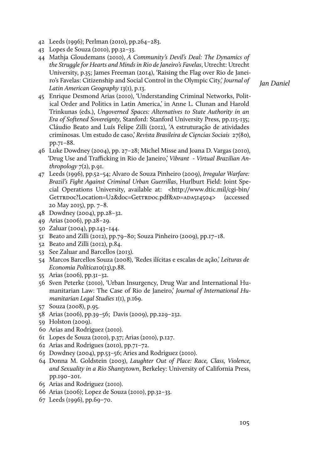- 42 Leeds (1996); Perlman (2010), pp.264–283.
- 43 Lopes de Souza (2010), pp.32–33.
- 44 Mathja Gloudemans (2010), *A Community's Devil's Deal: The Dynamics of the Struggle for Hearts and Minds in Rio de Janeiro's Favelas*, Utrecht: Utrecht University, p.35; James Freeman (2014), 'Raising the Flag over Rio de Janeiro's Favelas: Citizenship and Social Control in the Olympic City,' *Journal of Latin American Geography* 13(1), p.13.

*Jan Daniel*

- 45 Enrique Desmond Arias (2010), 'Understanding Criminal Networks, Political Order and Politics in Latin America,' in Anne L. Clunan and Harold Trinkunas (eds.), *Ungoverned Spaces: Alternatives to State Authority in an Era of Softened Sovereignty,* Stanford: Stanford University Press, pp.115-135; Cláudio Beato and Luís Felipe Zilli (2012), 'A estruturaçăo de atividades criminosas. Um estudo de caso,' *Revista Brasileira de Ci*ę*ncias Sociais* 27(80), pp.71–88.
- 46 Luke Dowdney (2004), pp. 27–28; Michel Misse and Joana D. Vargas (2010), 'Drug Use and Trafficking in Rio de Janeiro,' Vibrant - Virtual Brazilian An*thropology* 7(2), p.91.
- 47 Leeds (1996), pp.52–54; Alvaro de Souza Pinheiro (2009), *Irregular Warfare: Brazil's Fight Against Criminal Urban Guerrillas*, Hurlburt Field: Joint Special Operations University, available at: <http://www.dtic.mil/cgi-bin/ GetTRDoc?Location=U2&doc=GetTRDoc.pdf&aD=aDA514504> (accessed 20 May 2015), pp. 7–8.
- 48 Dowdney (2004), pp.28–32.
- 49 Arias (2006), pp.28–29.
- 50 Zaluar (2004), pp.143–144.
- 51 Beato and Zilli (2012), pp.79–80; Souza Pinheiro (2009), pp.17–18.
- 52 Beato and Zilli (2012), p.84.
- 53 See Zaluar and Barcellos (2013).
- 54 Marcos Barcellos Souza (2008), 'Redes ilícitas e escalas de açăo,' *Leituras de Economia Política*10(13),p.88.
- 55 Arias (2006), pp.31–32.
- 56 Sven Peterke (2010), 'Urban Insurgency, Drug War and International Humanitarian Law: The Case of Rio de Janeiro,' *Journal of International Humanitarian Legal Studies* 1(1), p.169.
- 57 Souza (2008), p.95.
- 58 Arias (2006), pp.39–56; Davis (2009), pp.229–232.
- 59 Holston (2009).
- 60 Arias and Rodriguez (2010).
- 61 Lopes de Souza (2010), p.37; Arias (2010), p.127.
- 62 Arias and Rodrigues (2010), pp.71–72.
- 63 Dowdney (2004), pp.53–56; Aries and Rodriguez (2010).
- 64 Donna M. Goldstein (2003), *Laughter Out of Place: Race, Class, Violence, and Sexuality in a Rio Shantytown*, Berkeley: University of California Press, pp.190–201.
- 65 Arias and Rodriguez (2010).
- 66 Arias (2006); Lopez de Souza (2010), pp.32–33.
- 67 Leeds (1996), pp.69–70.